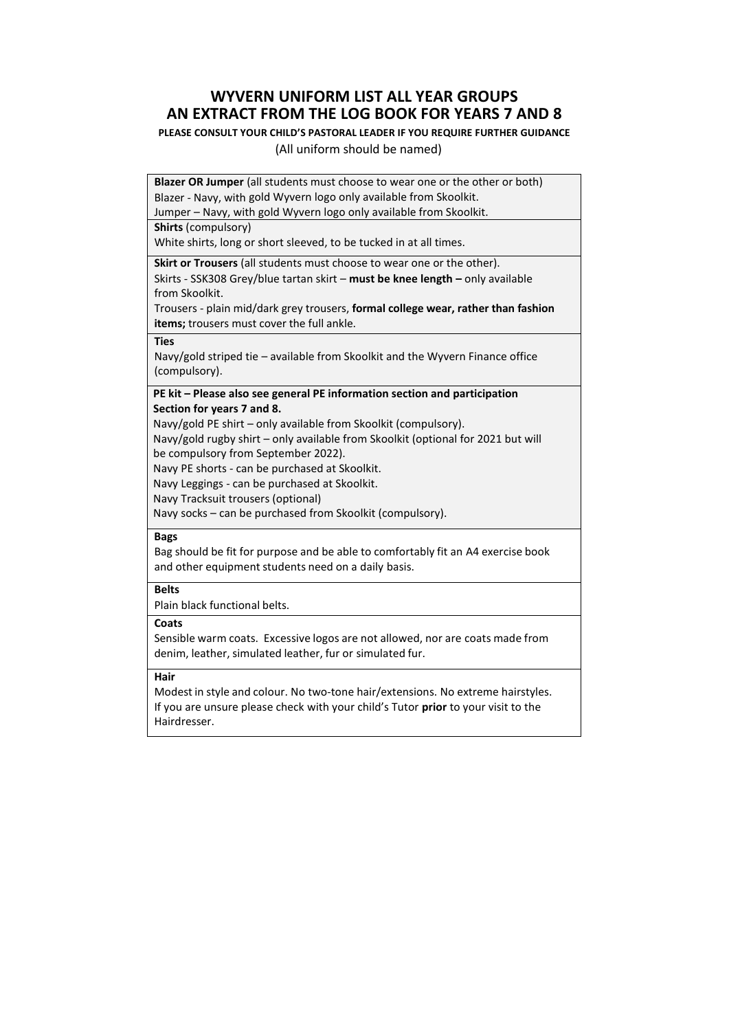# **WYVERN UNIFORM LIST ALL YEAR GROUPS AN EXTRACT FROM THE LOG BOOK FOR YEARS 7 AND 8**

### **PLEASE CONSULT YOUR CHILD'S PASTORAL LEADER IF YOU REQUIRE FURTHER GUIDANCE**

#### (All uniform should be named)

**Blazer OR Jumper** (all students must choose to wear one or the other or both) Blazer - Navy, with gold Wyvern logo only available from Skoolkit.

Jumper – Navy, with gold Wyvern logo only available from Skoolkit.

**Shirts** (compulsory)

White shirts, long or short sleeved, to be tucked in at all times.

**Skirt or Trousers** (all students must choose to wear one or the other).

Skirts - SSK308 Grey/blue tartan skirt – **must be knee length –** only available from Skoolkit.

Trousers - plain mid/dark grey trousers, **formal college wear, rather than fashion items;** trousers must cover the full ankle.

#### **Ties**

Navy/gold striped tie – available from Skoolkit and the Wyvern Finance office (compulsory).

 **PE kit – Please also see general PE information section and participation Section for years 7 and 8.**

Navy/gold PE shirt – only available from Skoolkit (compulsory).

 Navy/gold rugby shirt – only available from Skoolkit (optional for 2021 but will be compulsory from September 2022).

Navy PE shorts - can be purchased at Skoolkit.

Navy Leggings - can be purchased at Skoolkit.

Navy Tracksuit trousers (optional)

Navy socks – can be purchased from Skoolkit (compulsory).

#### **Bags**

Bag should be fit for purpose and be able to comfortably fit an A4 exercise book and other equipment students need on a daily basis.

### **Belts**

Plain black functional belts.

### **Coats**

Sensible warm coats. Excessive logos are not allowed, nor are coats made from denim, leather, simulated leather, fur or simulated fur.

## **Hair**

Modest in style and colour. No two-tone hair/extensions. No extreme hairstyles. If you are unsure please check with your child's Tutor **prior** to your visit to the Hairdresser.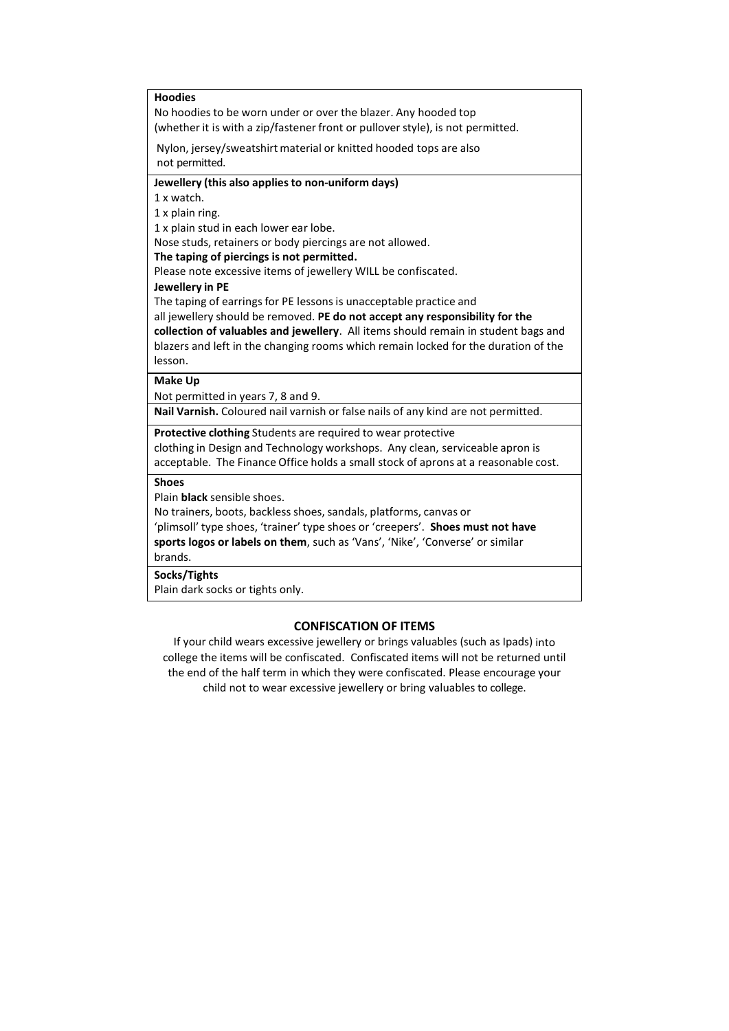| <b>Hoodies</b>                                                                     |
|------------------------------------------------------------------------------------|
| No hoodies to be worn under or over the blazer. Any hooded top                     |
| (whether it is with a zip/fastener front or pullover style), is not permitted.     |
| Nylon, jersey/sweatshirt material or knitted hooded tops are also                  |
| not permitted.                                                                     |
| Jewellery (this also applies to non-uniform days)                                  |
| 1 x watch.                                                                         |
| 1 x plain ring.                                                                    |
| 1 x plain stud in each lower ear lobe.                                             |
| Nose studs, retainers or body piercings are not allowed.                           |
| The taping of piercings is not permitted.                                          |
| Please note excessive items of jewellery WILL be confiscated.                      |
| Jewellery in PE                                                                    |
| The taping of earrings for PE lessons is unacceptable practice and                 |
| all jewellery should be removed. PE do not accept any responsibility for the       |
| collection of valuables and jewellery. All items should remain in student bags and |
| blazers and left in the changing rooms which remain locked for the duration of the |
| lesson.                                                                            |
| <b>Make Up</b>                                                                     |
| Not permitted in years 7, 8 and 9.                                                 |
| Nail Varnish. Coloured nail varnish or false nails of any kind are not permitted.  |
| Protective clothing Students are required to wear protective                       |
| clothing in Design and Technology workshops. Any clean, serviceable apron is       |
| acceptable. The Finance Office holds a small stock of aprons at a reasonable cost. |
| <b>Shoes</b>                                                                       |
| Plain <b>black</b> sensible shoes.                                                 |
| No trainers, boots, backless shoes, sandals, platforms, canvas or                  |
| 'plimsoll' type shoes, 'trainer' type shoes or 'creepers'. Shoes must not have     |
| sports logos or labels on them, such as 'Vans', 'Nike', 'Converse' or similar      |
| brands.                                                                            |
| Socks/Tights                                                                       |
| Plain dark socks or tights only.                                                   |
|                                                                                    |

## **CONFISCATION OF ITEMS**

If your child wears excessive jewellery or brings valuables (such as Ipads) into college the items will be confiscated. Confiscated items will not be returned until the end of the half term in which they were confiscated. Please encourage your child not to wear excessive jewellery or bring valuables to college.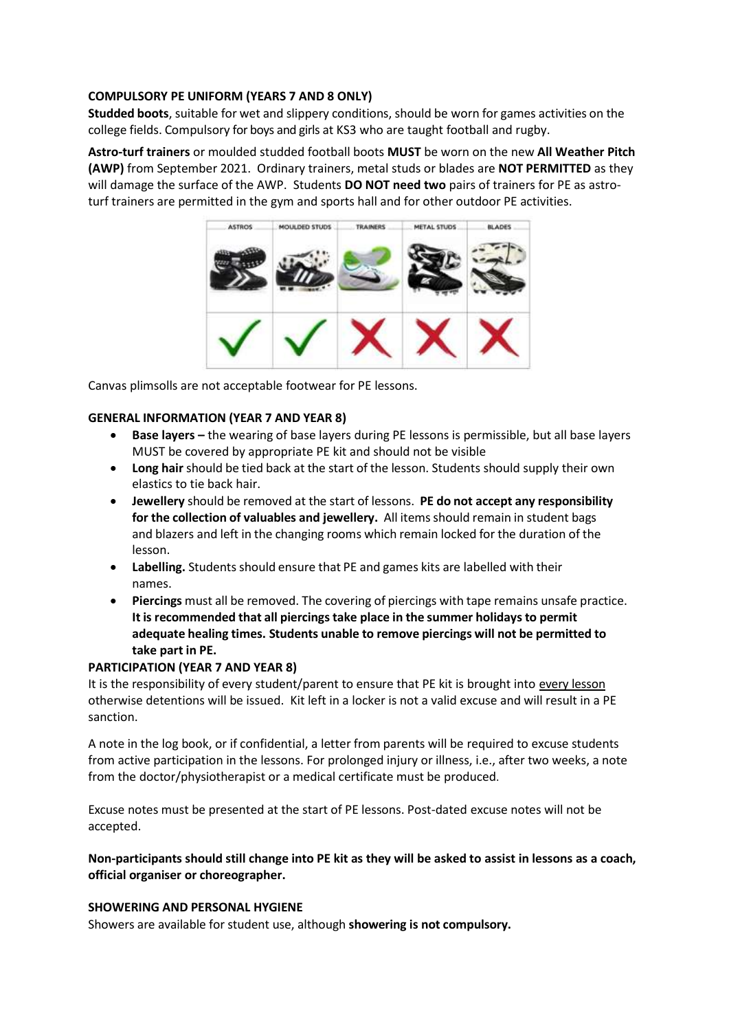## **COMPULSORY PE UNIFORM (YEARS 7 AND 8 ONLY)**

**Studded boots**, suitable for wet and slippery conditions, should be worn for games activities on the college fields. Compulsory for boys and girls at KS3 who are taught football and rugby.

**Astro-turf trainers** or moulded studded football boots **MUST** be worn on the new **All Weather Pitch (AWP)** from September 2021. Ordinary trainers, metal studs or blades are **NOT PERMITTED** as they will damage the surface of the AWP. Students **DO NOT need two** pairs of trainers for PE as astroturf trainers are permitted in the gym and sports hall and for other outdoor PE activities.



Canvas plimsolls are not acceptable footwear for PE lessons.

## **GENERAL INFORMATION (YEAR 7 AND YEAR 8)**

- **Base layers** the wearing of base layers during PE lessons is permissible, but all base layers MUST be covered by appropriate PE kit and should not be visible
- **Long hair** should be tied back at the start of the lesson. Students should supply their own elastics to tie back hair.
- **Jewellery** should be removed at the start of lessons. **PE do not accept any responsibility for the collection of valuables and jewellery.** All itemsshould remain in student bags and blazers and left in the changing rooms which remain locked for the duration of the lesson.
- **Labelling.** Students should ensure that PE and games kits are labelled with their names.
- **Piercings** must all be removed. The covering of piercings with tape remains unsafe practice. **It is recommended that all piercingstake place in the summer holidaysto permit adequate healing times. Students unable to remove piercings will not be permitted to take part in PE.**

## **PARTICIPATION (YEAR 7 AND YEAR 8)**

It is the responsibility of every student/parent to ensure that PE kit is brought into every lesson otherwise detentions will be issued. Kit left in a locker is not a valid excuse and will result in a PE sanction.

A note in the log book, or if confidential, a letter from parents will be required to excuse students from active participation in the lessons. For prolonged injury or illness, i.e., after two weeks, a note from the doctor/physiotherapist or a medical certificate must be produced.

Excuse notes must be presented at the start of PE lessons. Post-dated excuse notes will not be accepted.

## Non-participants should still change into PE kit as they will be asked to assist in lessons as a coach, **official organiser or choreographer.**

## **SHOWERING AND PERSONAL HYGIENE**

Showers are available for student use, although **showering is not compulsory.**